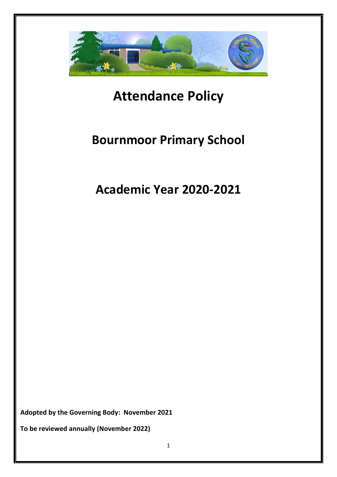

# **Attendance Policy**

# **Bournmoor Primary School**

**Academic Year 2020-2021**

**Adopted by the Governing Body: November 2021**

**To be reviewed annually (November 2022)**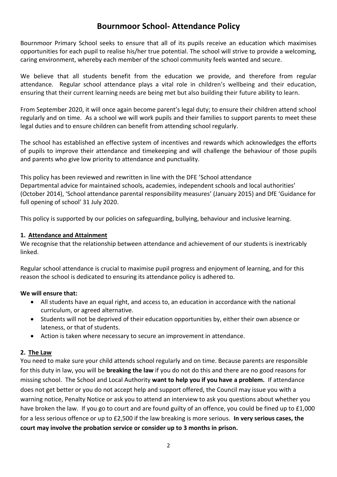# **Bournmoor School- Attendance Policy**

Bournmoor Primary School seeks to ensure that all of its pupils receive an education which maximises opportunities for each pupil to realise his/her true potential. The school will strive to provide a welcoming, caring environment, whereby each member of the school community feels wanted and secure.

We believe that all students benefit from the education we provide, and therefore from regular attendance. Regular school attendance plays a vital role in children's wellbeing and their education, ensuring that their current learning needs are being met but also building their future ability to learn.

From September 2020, it will once again become parent's legal duty; to ensure their children attend school regularly and on time. As a school we will work pupils and their families to support parents to meet these legal duties and to ensure children can benefit from attending school regularly.

The school has established an effective system of incentives and rewards which acknowledges the efforts of pupils to improve their attendance and timekeeping and will challenge the behaviour of those pupils and parents who give low priority to attendance and punctuality.

This policy has been reviewed and rewritten in line with the DFE 'School attendance Departmental advice for maintained schools, academies, independent schools and local authorities' (October 2014), 'School attendance parental responsibility measures' (January 2015) and DfE 'Guidance for full opening of school' 31 July 2020.

This policy is supported by our policies on safeguarding, bullying, behaviour and inclusive learning.

# **1. Attendance and Attainment**

We recognise that the relationship between attendance and achievement of our students is inextricably linked.

Regular school attendance is crucial to maximise pupil progress and enjoyment of learning, and for this reason the school is dedicated to ensuring its attendance policy is adhered to.

# **We will ensure that:**

- All students have an equal right, and access to, an education in accordance with the national curriculum, or agreed alternative.
- Students will not be deprived of their education opportunities by, either their own absence or lateness, or that of students.
- Action is taken where necessary to secure an improvement in attendance.

# **2. The Law**

You need to make sure your child attends school regularly and on time. Because parents are responsible for this duty in law, you will be **breaking the law** if you do not do this and there are no good reasons for missing school. The School and Local Authority **want to help you if you have a problem.** If attendance does not get better or you do not accept help and support offered, the Council may issue you with a warning notice, Penalty Notice or ask you to attend an interview to ask you questions about whether you have broken the law. If you go to court and are found guilty of an offence, you could be fined up to £1,000 for a less serious offence or up to £2,500 if the law breaking is more serious. **In very serious cases, the court may involve the probation service or consider up to 3 months in prison.**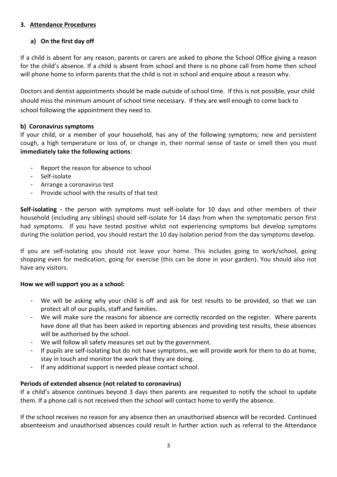## **3. Attendance Procedures**

# **a) On the first day off**

If a child is absent for any reason, parents or carers are asked to phone the School Office giving a reason for the child's absence. If a child is absent from school and there is no phone call from home then school will phone home to inform parents that the child is not in school and enquire about a reason why.

Doctors and dentist appointments should be made outside of school time. If this is not possible, your child should miss the minimum amount of school time necessary. If they are well enough to come back to school following the appointment they need to.

#### **b) Coronavirus symptoms**

If your child, or a member of your household, has any of the following symptoms; new and persistent cough, a high temperature or loss of, or change in, their normal sense of taste or smell then you must **immediately take the following actions**:

- Report the reason for absence to school
- Self-isolate
- Arrange a coronavirus test
- Provide school with the results of that test

**Self-isolating -** the person with symptoms must self-isolate for 10 days and other members of their household (including any siblings) should self-isolate for 14 days from when the symptomatic person first had symptoms. If you have tested positive whilst not experiencing symptoms but develop symptoms during the isolation period, you should restart the 10 day isolation period from the day symptoms develop.

If you are self-isolating you should not leave your home. This includes going to work/school, going shopping even for medication, going for exercise (this can be done in your garden). You should also not have any visitors.

#### **How we will support you as a school:**

- We will be asking why your child is off and ask for test results to be provided, so that we can protect all of our pupils, staff and families.
- We will make sure the reasons for absence are correctly recorded on the register. Where parents have done all that has been asked in reporting absences and providing test results, these absences will be authorised by the school.
- We will follow all safety measures set out by the government.
- If pupils are self-isolating but do not have symptoms, we will provide work for them to do at home, stay in touch and monitor the work that they are doing.
- If any additional support is needed please contact school.

#### **Periods of extended absence (not related to coronavirus)**

If a child's absence continues beyond 3 days then parents are requested to notify the school to update them. If a phone call is not received then the school will contact home to verify the absence.

If the school receives no reason for any absence then an unauthorised absence will be recorded. Continued absenteeism and unauthorised absences could result in further action such as referral to the Attendance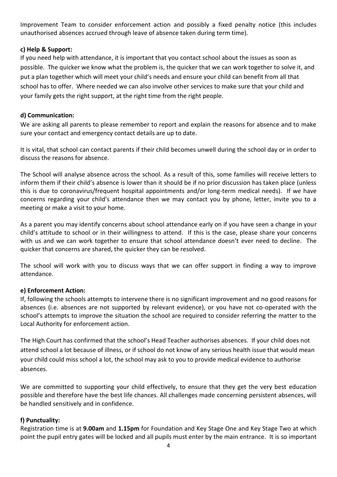Improvement Team to consider enforcement action and possibly a fixed penalty notice (this includes unauthorised absences accrued through leave of absence taken during term time).

# **c) Help & Support:**

If you need help with attendance, it is important that you contact school about the issues as soon as possible. The quicker we know what the problem is, the quicker that we can work together to solve it, and put a plan together which will meet your child's needs and ensure your child can benefit from all that school has to offer. Where needed we can also involve other services to make sure that your child and your family gets the right support, at the right time from the right people.

## **d) Communication:**

We are asking all parents to please remember to report and explain the reasons for absence and to make sure your contact and emergency contact details are up to date.

It is vital, that school can contact parents if their child becomes unwell during the school day or in order to discuss the reasons for absence.

The School will analyse absence across the school. As a result of this, some families will receive letters to inform them if their child's absence is lower than it should be if no prior discussion has taken place (unless this is due to coronavirus/frequent hospital appointments and/or long-term medical needs). If we have concerns regarding your child's attendance then we may contact you by phone, letter, invite you to a meeting or make a visit to your home.

As a parent you may identify concerns about school attendance early on if you have seen a change in your child's attitude to school or in their willingness to attend. If this is the case, please share your concerns with us and we can work together to ensure that school attendance doesn't ever need to decline. The quicker that concerns are shared, the quicker they can be resolved.

The school will work with you to discuss ways that we can offer support in finding a way to improve attendance.

#### **e) Enforcement Action:**

If, following the schools attempts to intervene there is no significant improvement and no good reasons for absences (i.e. absences are not supported by relevant evidence), or you have not co-operated with the school's attempts to improve the situation the school are required to consider referring the matter to the Local Authority for enforcement action.

The High Court has confirmed that the school's Head Teacher authorises absences. If your child does not attend school a lot because of illness, or if school do not know of any serious health issue that would mean your child could miss school a lot, the school may ask to you to provide medical evidence to authorise absences.

We are committed to supporting your child effectively, to ensure that they get the very best education possible and therefore have the best life chances. All challenges made concerning persistent absences, will be handled sensitively and in confidence.

#### **f) Punctuality:**

Registration time is at **9.00am** and **1.15pm** for Foundation and Key Stage One and Key Stage Two at which point the pupil entry gates will be locked and all pupils must enter by the main entrance. It is so important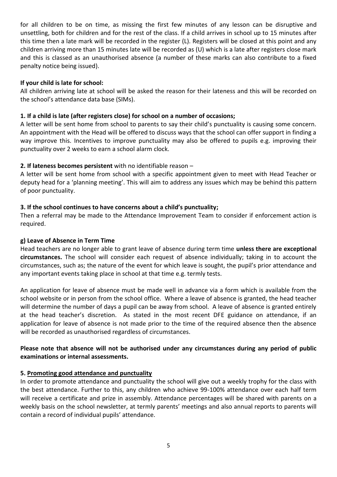for all children to be on time, as missing the first few minutes of any lesson can be disruptive and unsettling, both for children and for the rest of the class. If a child arrives in school up to 15 minutes after this time then a late mark will be recorded in the register (L). Registers will be closed at this point and any children arriving more than 15 minutes late will be recorded as (U) which is a late after registers close mark and this is classed as an unauthorised absence (a number of these marks can also contribute to a fixed penalty notice being issued).

#### **If your child is late for school:**

All children arriving late at school will be asked the reason for their lateness and this will be recorded on the school's attendance data base (SIMs).

#### **1. If a child is late (after registers close) for school on a number of occasions;**

A letter will be sent home from school to parents to say their child's punctuality is causing some concern. An appointment with the Head will be offered to discuss ways that the school can offer support in finding a way improve this. Incentives to improve punctuality may also be offered to pupils e.g. improving their punctuality over 2 weeks to earn a school alarm clock.

#### **2. If lateness becomes persistent** with no identifiable reason –

A letter will be sent home from school with a specific appointment given to meet with Head Teacher or deputy head for a 'planning meeting'. This will aim to address any issues which may be behind this pattern of poor punctuality.

#### **3. If the school continues to have concerns about a child's punctuality;**

Then a referral may be made to the Attendance Improvement Team to consider if enforcement action is required.

#### **g) Leave of Absence in Term Time**

Head teachers are no longer able to grant leave of absence during term time **unless there are exceptional circumstances.** The school will consider each request of absence individually; taking in to account the circumstances, such as; the nature of the event for which leave is sought, the pupil's prior attendance and any important events taking place in school at that time e.g. termly tests.

An application for leave of absence must be made well in advance via a form which is available from the school website or in person from the school office. Where a leave of absence is granted, the head teacher will determine the number of days a pupil can be away from school. A leave of absence is granted entirely at the head teacher's discretion. As stated in the most recent DFE guidance on attendance, if an application for leave of absence is not made prior to the time of the required absence then the absence will be recorded as unauthorised regardless of circumstances.

#### **Please note that absence will not be authorised under any circumstances during any period of public examinations or internal assessments.**

#### **5. Promoting good attendance and punctuality**

In order to promote attendance and punctuality the school will give out a weekly trophy for the class with the best attendance. Further to this, any children who achieve 99-100% attendance over each half term will receive a certificate and prize in assembly. Attendance percentages will be shared with parents on a weekly basis on the school newsletter, at termly parents' meetings and also annual reports to parents will contain a record of individual pupils' attendance.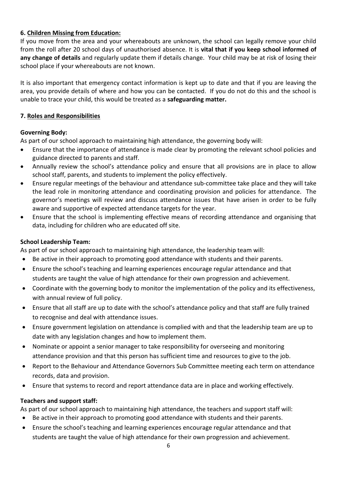# **6. Children Missing from Education:**

If you move from the area and your whereabouts are unknown, the school can legally remove your child from the roll after 20 school days of unauthorised absence. It is **vital that if you keep school informed of any change of details** and regularly update them if details change. Your child may be at risk of losing their school place if your whereabouts are not known.

It is also important that emergency contact information is kept up to date and that if you are leaving the area, you provide details of where and how you can be contacted. If you do not do this and the school is unable to trace your child, this would be treated as a **safeguarding matter.**

#### **7. Roles and Responsibilities**

#### **Governing Body:**

As part of our school approach to maintaining high attendance, the governing body will:

- Ensure that the importance of attendance is made clear by promoting the relevant school policies and guidance directed to parents and staff.
- Annually review the school's attendance policy and ensure that all provisions are in place to allow school staff, parents, and students to implement the policy effectively.
- Ensure regular meetings of the behaviour and attendance sub-committee take place and they will take the lead role in monitoring attendance and coordinating provision and policies for attendance. The governor's meetings will review and discuss attendance issues that have arisen in order to be fully aware and supportive of expected attendance targets for the year.
- Ensure that the school is implementing effective means of recording attendance and organising that data, including for children who are educated off site.

#### **School Leadership Team:**

As part of our school approach to maintaining high attendance, the leadership team will:

- Be active in their approach to promoting good attendance with students and their parents.
- Ensure the school's teaching and learning experiences encourage regular attendance and that students are taught the value of high attendance for their own progression and achievement.
- Coordinate with the governing body to monitor the implementation of the policy and its effectiveness, with annual review of full policy.
- Ensure that all staff are up to date with the school's attendance policy and that staff are fully trained to recognise and deal with attendance issues.
- Ensure government legislation on attendance is complied with and that the leadership team are up to date with any legislation changes and how to implement them.
- Nominate or appoint a senior manager to take responsibility for overseeing and monitoring attendance provision and that this person has sufficient time and resources to give to the job.
- Report to the Behaviour and Attendance Governors Sub Committee meeting each term on attendance records, data and provision.
- Ensure that systems to record and report attendance data are in place and working effectively.

#### **Teachers and support staff:**

As part of our school approach to maintaining high attendance, the teachers and support staff will:

- Be active in their approach to promoting good attendance with students and their parents.
- Ensure the school's teaching and learning experiences encourage regular attendance and that students are taught the value of high attendance for their own progression and achievement.